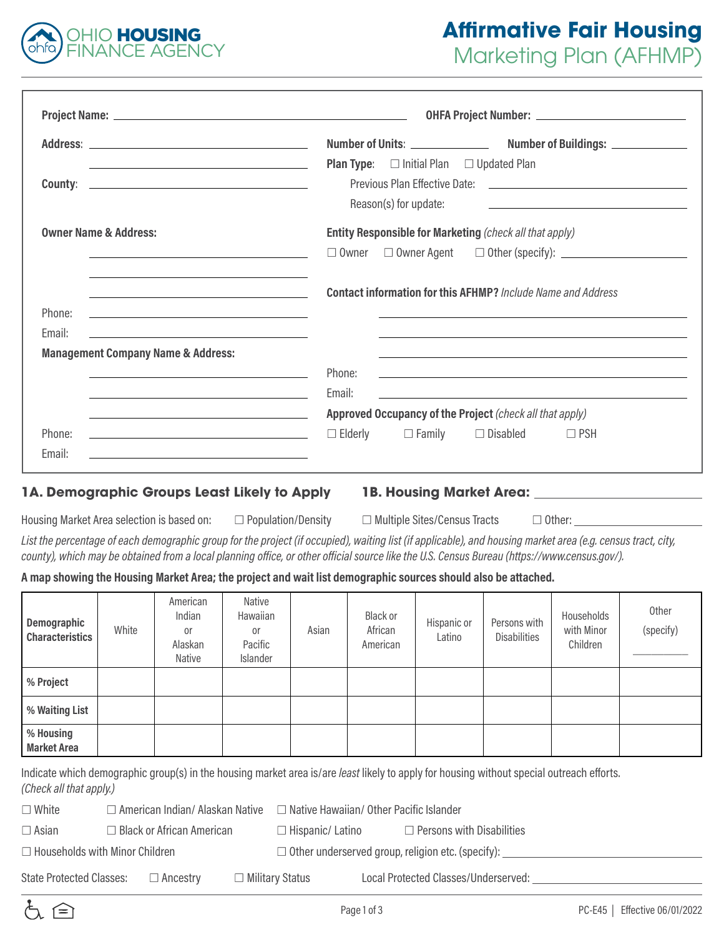

# **Affirmative Fair Housing**  Marketing Plan (AFHMP)

|                                                                                                                                      | OHFA Project Number: <u>____________________________</u>                                                                        |
|--------------------------------------------------------------------------------------------------------------------------------------|---------------------------------------------------------------------------------------------------------------------------------|
|                                                                                                                                      |                                                                                                                                 |
| <u> 1989 - Andrea Stadt Britain, amerikansk politik (* 1908)</u>                                                                     | <b>Plan Type:</b> $\Box$ Initial Plan $\Box$ Updated Plan                                                                       |
|                                                                                                                                      |                                                                                                                                 |
|                                                                                                                                      | Reason(s) for update:                                                                                                           |
| <b>Owner Name &amp; Address:</b>                                                                                                     | Entity Responsible for Marketing (check all that apply)                                                                         |
| <u> 1989 - Johann Barn, fransk politik (d. 1989)</u>                                                                                 | $\Box$ Owner $\Box$ Owner Agent $\Box$ Other (specify): $\Box$                                                                  |
| the control of the control of the control of the control of the control of the control of                                            | <b>Contact information for this AFHMP?</b> Include Name and Address                                                             |
| <u> 1989 - Johann Stein, Amerikaansk politiker († 1958)</u>                                                                          |                                                                                                                                 |
|                                                                                                                                      |                                                                                                                                 |
|                                                                                                                                      | Phone:<br><u> 1989 - Johann Stoff, deutscher Stoff, der Stoff, der Stoff, der Stoff, der Stoff, der Stoff, der Stoff, der S</u> |
| Phone:<br>Email:<br><b>Management Company Name &amp; Address:</b><br><u> 1989 - Johann Barn, fransk politik amerikansk politik (</u> | Email:                                                                                                                          |
| <u> 1989 - Johann Barn, fransk politik amerikansk politik (</u>                                                                      | Approved Occupancy of the Project (check all that apply)                                                                        |
| Phone:                                                                                                                               | $\Box$ Elderly $\Box$ Family $\Box$ Disabled<br>$\Box$ PSH                                                                      |

#### **1A. Demographic Groups Least Likely to Apply 1B. Housing Market Area:**

Housing Market Area selection is based on: □ Population/Density □ Multiple Sites/Census Tracts □ Other: <u></u>

*List the percentage of each demographic group for the project (if occupied), waiting list (if applicable), and housing market area (e.g. census tract, city, county), which may be obtained from a local planning office, or other official source like the U.S. Census Bureau (https://www.census.gov/).*

#### **A map showing the Housing Market Area; the project and wait list demographic sources should also be attached.**

| Demographic<br><b>Characteristics</b>                                                                                                     | White | American<br>Indian<br>0r<br>Alaskan<br>Native | Native<br>Hawaiian<br>or<br>Pacific<br><b>Islander</b> | Asian | Black or<br>African<br>American | Hispanic or<br>Latino | Persons with<br><b>Disabilities</b> | Households<br>with Minor<br>Children | <b>Other</b><br>(specify) |
|-------------------------------------------------------------------------------------------------------------------------------------------|-------|-----------------------------------------------|--------------------------------------------------------|-------|---------------------------------|-----------------------|-------------------------------------|--------------------------------------|---------------------------|
| % Project                                                                                                                                 |       |                                               |                                                        |       |                                 |                       |                                     |                                      |                           |
| % Waiting List                                                                                                                            |       |                                               |                                                        |       |                                 |                       |                                     |                                      |                           |
| % Housing<br><b>Market Area</b>                                                                                                           |       |                                               |                                                        |       |                                 |                       |                                     |                                      |                           |
| Indicate which demographic aroun(a) in the bouging merket area is large legat likely to enply for bouging without encoid outreach offerto |       |                                               |                                                        |       |                                 |                       |                                     |                                      |                           |

Indicate which demographic group(s) in the housing market area is/are *least* likely to apply for housing without special outreach efforts. *(Check all that apply.)*

|--|--|

□ American Indian/ Alaskan Native □ Native Hawaiian/ Other Pacific Islander

☐ Asian ☐ Black or African American ☐ Hispanic/ Latino ☐ Persons with Disabilities

☐ Households with Minor Children ☐ Other underserved group, religion etc. (specify):

State Protected Classes: □ Ancestry □ Military Status Local Protected Classes/Underserved: \_\_\_\_\_\_

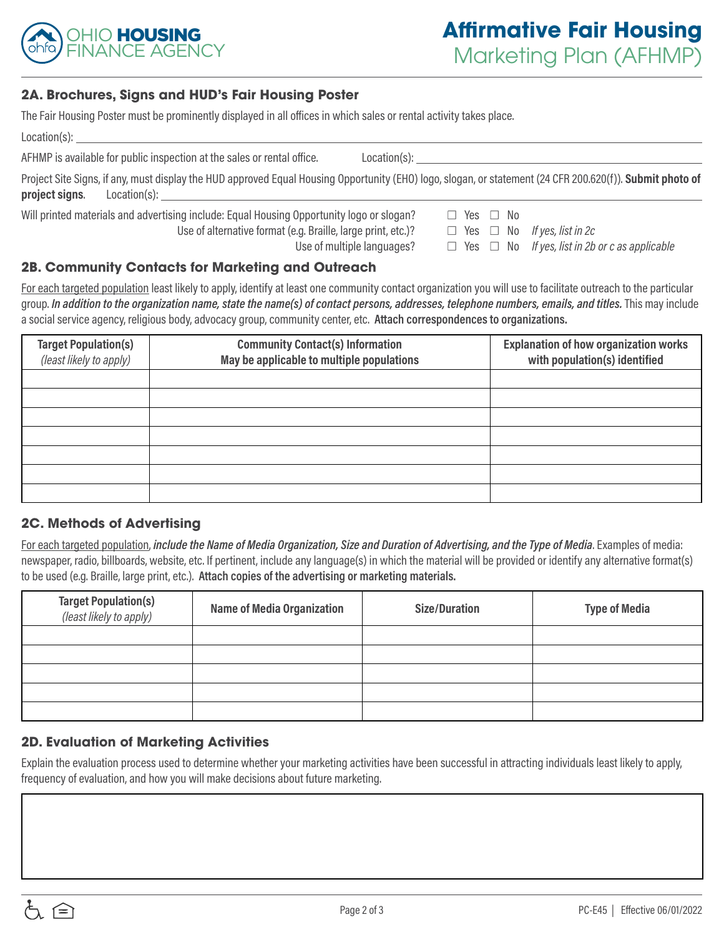

#### **2A. Brochures, Signs and HUD's Fair Housing Poster**

| The Fair Housing Poster must be prominently displayed in all offices in which sales or rental activity takes place.                                                         |                                                                                                                                                                                                                                |
|-----------------------------------------------------------------------------------------------------------------------------------------------------------------------------|--------------------------------------------------------------------------------------------------------------------------------------------------------------------------------------------------------------------------------|
|                                                                                                                                                                             |                                                                                                                                                                                                                                |
| AFHMP is available for public inspection at the sales or rental office.                                                                                                     | Location(s): the contract of the contract of the contract of the contract of the contract of the contract of the contract of the contract of the contract of the contract of the contract of the contract of the contract of t |
| Project Site Signs, if any, must display the HUD approved Equal Housing Opportunity (EHO) logo, slogan, or statement (24 CFR 200.620(f)). Submit photo of<br>project signs. |                                                                                                                                                                                                                                |
| Will printed materials and advertising include: Equal Housing Opportunity logo or slogan?                                                                                   | $\Box$ Yes $\Box$ No                                                                                                                                                                                                           |
| Use of alternative format (e.g. Braille, large print, etc.)?                                                                                                                | $\Box$ Yes $\Box$ No If yes, list in 2c                                                                                                                                                                                        |
| Use of multiple languages?                                                                                                                                                  | $\Box$ Yes $\Box$ No If yes, list in 2b or c as applicable                                                                                                                                                                     |
| 2B. Community Contacts for Marketing and Outreach                                                                                                                           |                                                                                                                                                                                                                                |

For each targeted population least likely to apply, identify at least one community contact organization you will use to facilitate outreach to the particular group. In addition to the organization name, state the name(s) of contact persons, addresses, telephone numbers, emails, and titles. This may include a social service agency, religious body, advocacy group, community center, etc. **Attach correspondences to organizations.**

| <b>Target Population(s)</b><br>(least likely to apply) | <b>Community Contact(s) Information</b><br>May be applicable to multiple populations | <b>Explanation of how organization works</b><br>with population(s) identified |
|--------------------------------------------------------|--------------------------------------------------------------------------------------|-------------------------------------------------------------------------------|
|                                                        |                                                                                      |                                                                               |
|                                                        |                                                                                      |                                                                               |
|                                                        |                                                                                      |                                                                               |
|                                                        |                                                                                      |                                                                               |
|                                                        |                                                                                      |                                                                               |

#### **2C. Methods of Advertising**

For each targeted population, *include the Name of Media Organization, Size and Duration of Advertising, and the Type of Media*. Examples of media: newspaper, radio, billboards, website, etc. If pertinent, include any language(s) in which the material will be provided or identify any alternative format(s) to be used (e.g. Braille, large print, etc.). **Attach copies of the advertising or marketing materials.**

| <b>Target Population(s)</b><br>(least likely to apply) | <b>Name of Media Organization</b> | <b>Size/Duration</b> | <b>Type of Media</b> |
|--------------------------------------------------------|-----------------------------------|----------------------|----------------------|
|                                                        |                                   |                      |                      |
|                                                        |                                   |                      |                      |
|                                                        |                                   |                      |                      |
|                                                        |                                   |                      |                      |
|                                                        |                                   |                      |                      |

## **2D. Evaluation of Marketing Activities**

Explain the evaluation process used to determine whether your marketing activities have been successful in attracting individuals least likely to apply, frequency of evaluation, and how you will make decisions about future marketing.